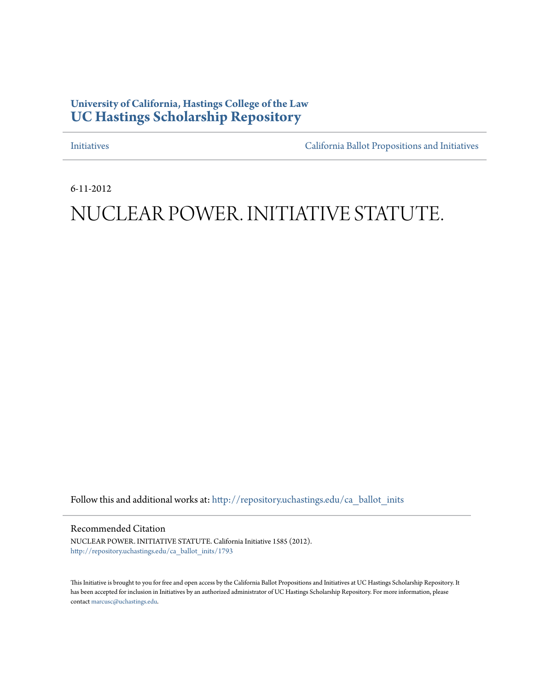# **University of California, Hastings College of the Law [UC Hastings Scholarship Repository](http://repository.uchastings.edu?utm_source=repository.uchastings.edu%2Fca_ballot_inits%2F1793&utm_medium=PDF&utm_campaign=PDFCoverPages)**

[Initiatives](http://repository.uchastings.edu/ca_ballot_inits?utm_source=repository.uchastings.edu%2Fca_ballot_inits%2F1793&utm_medium=PDF&utm_campaign=PDFCoverPages) [California Ballot Propositions and Initiatives](http://repository.uchastings.edu/ca_ballots?utm_source=repository.uchastings.edu%2Fca_ballot_inits%2F1793&utm_medium=PDF&utm_campaign=PDFCoverPages)

6-11-2012

# NUCLEAR POWER. INITIATIVE STATUTE.

Follow this and additional works at: [http://repository.uchastings.edu/ca\\_ballot\\_inits](http://repository.uchastings.edu/ca_ballot_inits?utm_source=repository.uchastings.edu%2Fca_ballot_inits%2F1793&utm_medium=PDF&utm_campaign=PDFCoverPages)

Recommended Citation

NUCLEAR POWER. INITIATIVE STATUTE. California Initiative 1585 (2012). [http://repository.uchastings.edu/ca\\_ballot\\_inits/1793](http://repository.uchastings.edu/ca_ballot_inits/1793?utm_source=repository.uchastings.edu%2Fca_ballot_inits%2F1793&utm_medium=PDF&utm_campaign=PDFCoverPages)

This Initiative is brought to you for free and open access by the California Ballot Propositions and Initiatives at UC Hastings Scholarship Repository. It has been accepted for inclusion in Initiatives by an authorized administrator of UC Hastings Scholarship Repository. For more information, please contact [marcusc@uchastings.edu](mailto:marcusc@uchastings.edu).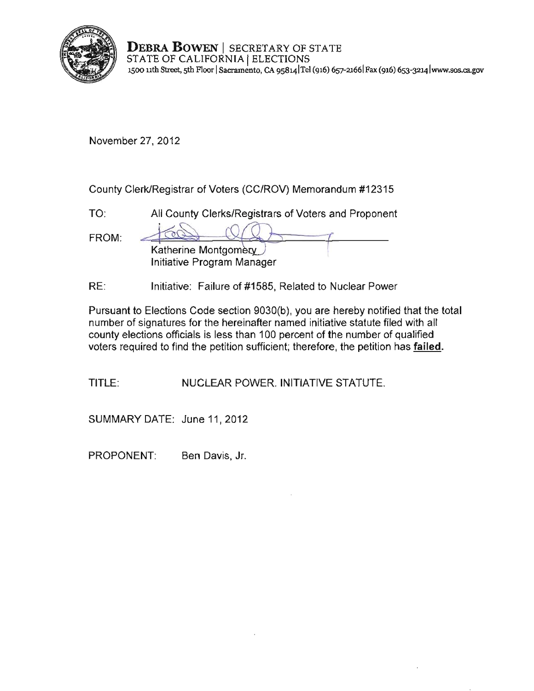

**DEBRA BOWEN** I SECRETARY OF STATE STATE OF CALIFORNIA | ELECTIONS **J500 nth Street, 5th Floor ISacramento, CA 9S8141Tel (916) 657-21661 Fax (916) 653-3214[lwww.sos.cagov](www.sos.ca.gov)** 

November 27,2012

County Clerk/Registrar of Voters (CC/ROV) Memorandum #12315

| TO:   | All County Clerks/Registrars of Voters and Proponent |
|-------|------------------------------------------------------|
| FROM: | Katherine Montgomery<br>Initiative Program Manager   |
|       |                                                      |

RE: Initiative: Failure of #1585, Related to Nuclear Power

Pursuant to Elections Code section 9030(b), you are hereby notified that the total number of signatures for the hereinafter named initiative statute filed with all county elections officials is less than 100 percent of the number of qualified voters required to find the petition sufficient; therefore, the petition has **failed.** 

TITLE: NUCLEAR POWER. INITIATIVE STATUTE.

SUMMARY DATE: June 11, 2012

PROPONENT: Ben Davis, Jr.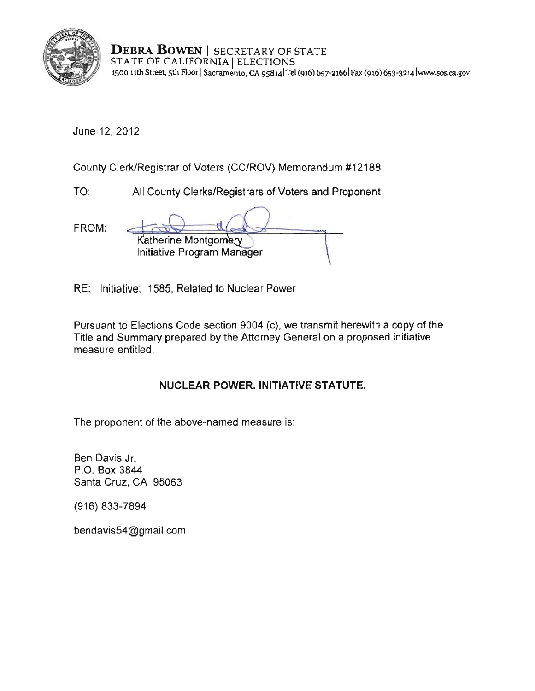

**DEBRA BOWEN** I SECRETARY OF STATE STATE OF CALIFORNIA | ELECTIONS **1500 11th Street, sth** Floor I**Sacramento, CA 9s8141Tei (916)** 657-21661Fax **(916) 653-3214 lwww.sos.ca.gov** 

June 12, 2012

County Clerk/Registrar of Voters (CC/ROV) Memorandum #12188

TO: All County Clerks/Registrars of Voters and Proponent

| FROM: |                                                    |
|-------|----------------------------------------------------|
|       | Katherine Montgomery<br>Initiative Program Manager |

RE: Initiative: 1585, Related to Nuclear Power

Pursuant to Elections Code section 9004 (c), we transmit herewith a copy of the Title and Summary prepared by the Attorney General on a proposed initiative **measure entitled:** 

# **NUCLEAR** POWER. INITIATIVE STATUTE.

The proponent of the above-named measure is:

Ben Davis Jr. P.O. Box 3844 Santa Cruz, CA 95063

(916) 833-7894

bendavis54@gmail.com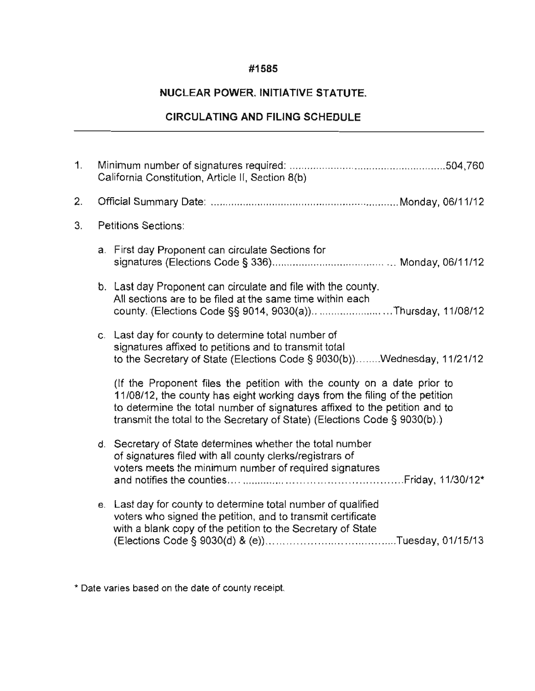### **#1585**

## **NUCLEAR** POWER. INITIATIVE **STATUTE.**

# **CIRCULATING AND FILING SCHEDULE**

| $\mathbf{1}$ . | California Constitution, Article II, Section 8(b) |                                                                                                                                                                                                                                                                                                                   |
|----------------|---------------------------------------------------|-------------------------------------------------------------------------------------------------------------------------------------------------------------------------------------------------------------------------------------------------------------------------------------------------------------------|
| 2.             |                                                   |                                                                                                                                                                                                                                                                                                                   |
| 3.             | Petitions Sections:                               |                                                                                                                                                                                                                                                                                                                   |
|                |                                                   | a. First day Proponent can circulate Sections for                                                                                                                                                                                                                                                                 |
|                |                                                   | b. Last day Proponent can circulate and file with the county.<br>All sections are to be filed at the same time within each<br>county. (Elections Code §§ 9014, 9030(a))Thursday, 11/08/12                                                                                                                         |
|                |                                                   | c. Last day for county to determine total number of<br>signatures affixed to petitions and to transmit total<br>to the Secretary of State (Elections Code § 9030(b))Wednesday, 11/21/12                                                                                                                           |
|                |                                                   | (If the Proponent files the petition with the county on a date prior to<br>11/08/12, the county has eight working days from the filing of the petition<br>to determine the total number of signatures affixed to the petition and to<br>transmit the total to the Secretary of State) (Elections Code § 9030(b).) |
|                |                                                   | d. Secretary of State determines whether the total number<br>of signatures filed with all county clerks/registrars of<br>voters meets the minimum number of required signatures                                                                                                                                   |
|                |                                                   | e. Last day for county to determine total number of qualified<br>voters who signed the petition, and to transmit certificate<br>with a blank copy of the petition to the Secretary of State                                                                                                                       |

**\* Date varies based on the date of county receipt.**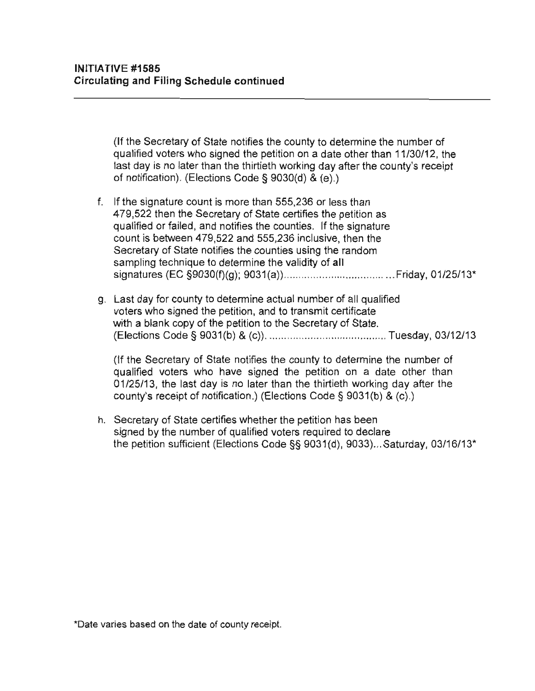(If the Secretary of State notifies the county to determine the number of qualified voters who signed the petition on a date other than 11/30/12, the last day is no later than the thirtieth working day after the county's receipt of notification). (Elections Code § 9030(d) & (e).)

- f. **If** the signature count is more than 555,236 or less than 479,522 then the Secretary of State certifies the petition as qualified or failed , and notifies the counties. **If** the signature count is between 479,522 and 555,236 inclusive, then the Secretary of State notifies the counties using the random sampling technique to detenmine the validity of **all**  signatures (EC §9030(f)(g); 9031 (a)) ..................................... Friday, 01/25/13"
- g. Last day for county to determine actual number of all qualified voters who signed the petition, and to transmit certificate with a blank copy of the petition to the Secretary of State. (Elections Code § 9031(b) & (c)) ........................................ Tuesday, 03/12/13

(If the Secretary of State notifies the county to determine the number of qualified voters who have signed the petition on a date other than 01/25/13 , the last day is no later than the thirtieth working day after the county's receipt of notification.) (Elections Code § 9031(b) & (c).)

h. Secretary of State certifies whether the petition has been signed by the number of qualified voters required to declare the petition sufficient (Elections Code §§ 9031(d), 9033) ... Saturday, 03/16/13"

**\*Date varies based on the date of county receipt.**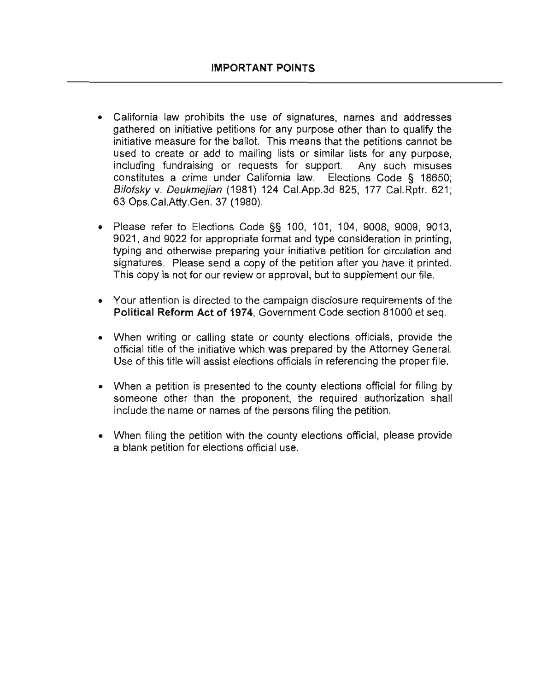- California law prohibits the use of signatures, names and addresses gathered on initiative petitions for any purpose other than to qualify the initiative measure for the ballot. This means that the petitions cannot be used to create or add to mailing lists or similar lists for any purpose, including fundraising or requests for support. Any such misuses constitutes a crime under California law. Elections Code § 18650; Bilofsky v. Deukmejian (1981) 124 Cal.App.3d 825, 177 Cal.Rptr. 621 ; 63 Ops.CaI.Atty.Gen. 37 (1980).
- Please refer to Elections Code §§ 100, 101, 104, 9008, 9009, 9013, 9021, and 9022 for appropriate format and type consideration in printing, typing and otherwise preparing your initiative petition for circulation and signatures. Please send a copy of the petition after you have it printed. This copy is not for our review or approval, but to supplement our file.
- Your attention is directed to the campaign disclosure requirements of the Political Reform Act of 1974, Government Code section 81000 et seq.
- When writing or calling state or county elections officials, provide the official title of the initiative which was prepared by the Attorney General. Use of this title will assist elections officials in referencing the proper file.
- When a petition is presented to the county elections official for filing by someone other than the proponent, the required authorization shall include the name or names of the persons filing the petition.
- When filing the petition with the county elections official, please provide a blank petition for elections official use.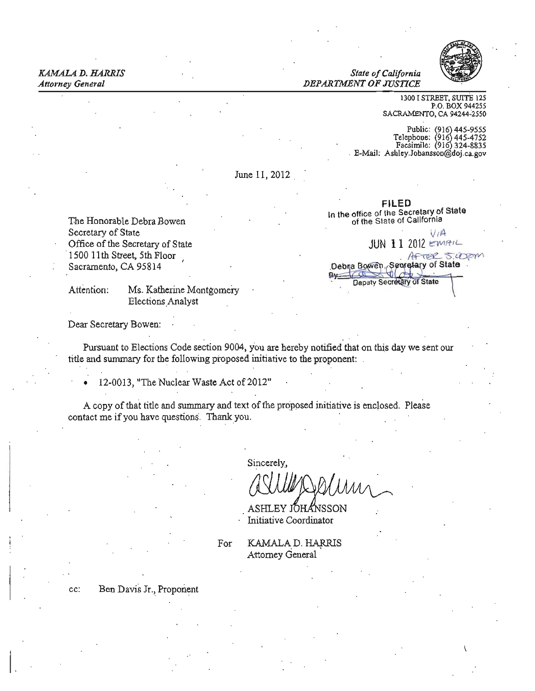**State of California** *Attorney General DEPARTMENT OF JUSTICE* 



1300 I STREET, SUITE 125 P.O. BOX 944255 SACRAMENTO, CA 94244·2550

Public: (916) 445-9555<br>Telepbone: (916) 445-4752 E-Mail: Ashley.Jobansson@doj.ca.gov

June 11, 2012

FILED In the office of the Secretary of State<br>of the State of California



The Honorable Debra Bowen Office of the Secretary of State

Attention: Ms. Katherine Montgomery Elections.Analyst

Dear Secretary Bowen:

Pursuant to Elections Code section 9004, you are hereby notified that on this day we sent our title and summary for the following proposed initiative to the proponent:

12-0013, "The Nuclear Waste Act of 2012"

A copy of that title and summary and text of the proposed initiative is enclosed. Please contact me if you have questions. Thank you.

Sincerely,

ASHLEY IOHANSSON Initiative Coordinator

For KAMALA D. HARRIS Attorney General

cc: Ben Davis Jr., Proponent

 $\vert$ ,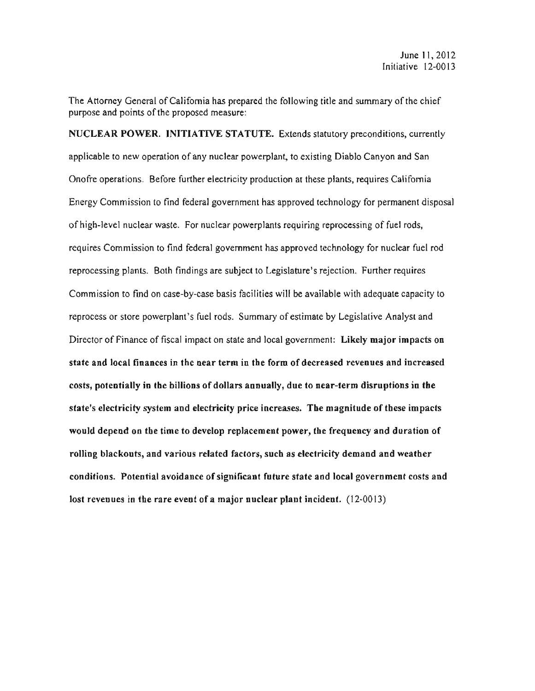The Attorney General of California has prepared the following title and summary of the chief purpose and points of the proposed measure:

NUCLEAR POWER. INITIATIVE STATUTE. Extends statutory preconditions, currently applicable to new operation of any nuclear powerplant, to existing Diablo Canyon and San Onofre operations. Before further electricity production at these plants, requires California Energy Commission to find federal government has approved technology for permanent disposal of high-level nuclear waste. For nuclear powerplants requiring reprocessing of fuel rods, requires Commission to find federal government has approved technology for nuclear fuel rod reprocessing plants. Both findings are subject to Legislature's rejection. Further requires Commission to find on case-by-case basis facilities will be available with adequate capacity to reprocess or store powerplant's fuel rods. Summary of estimate by Legislative Analyst and Director of Finance of fiscal impact on state and local government: Likely major impacts on state and local finances in the near term in the form of decreased revenues and increased costs, potentially in the billions of dollars annually, due to ncar-term disruptions in the state's electricity system and electricity price increases. The magnitude of these impacts would depend on the time to develop replacement power, the frequency and duration of rolling blackouts, and various related factors, such as electricity demand and weather conditions. Potential avoidance of significant future state and local government costs and lost revenues in the rare event ofa major nuclear plant incident. (12-0013)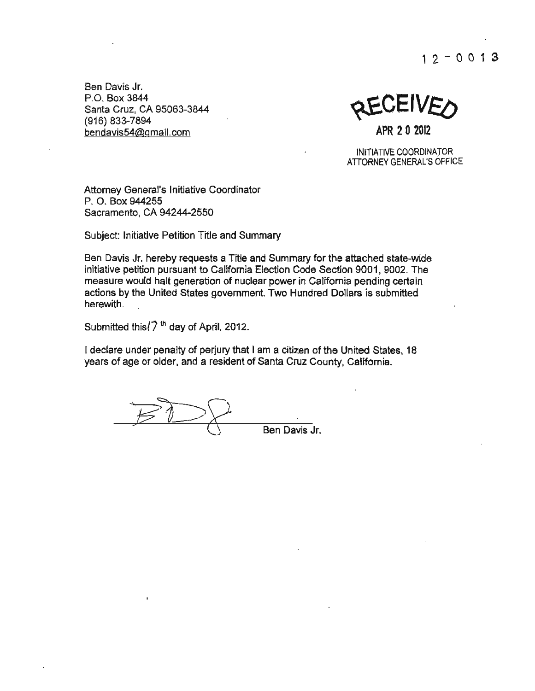$12 - 0013$ 

**Ben Davis Jr.**  P.O. Box 3844 Santa Cruz, CA 95063-3844 Santa Cruz, CA 95063-3844<br>(916) 833-7894<br>bendavis54@gmail.com **APR 2 0 2012** 

INITIATIVE COOROINATOR ATIORNEYGENERAL'S OFFICE

**Attorney General's Initiative Coordinator**  P. O. Box 944255 Sacramento, CA 94244-2550

SUbject: Initiative Petition Title and Summary

Ben Davis Jr. hereby requests a Title and Summary for the attached state-wide initiative petition pursuant to California Election Code Section 9001, 9002. The measure would halt generation of nuclear power in California pending certain actions by the United States govemment. Two Hundred Dollars is submitted herewith.

Submitted this $(7<sup>th</sup>$  day of April, 2012.

I declare under penalty of perjury that I am a citizen of the United States, 18 years of age or older, and a resident of Santa Cruz County, Califomia.

Ben Davis Jr.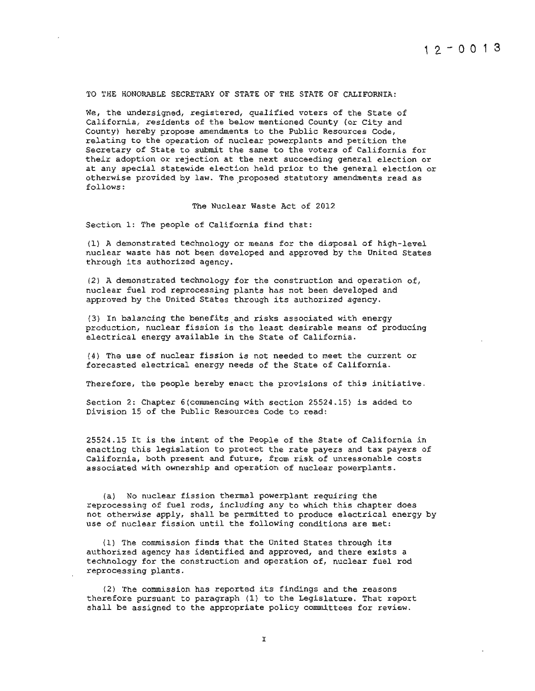#### TO THE HONORABLE SECRETARY OF STATE OF THE STATE OF CALIFORNIA:

We, the undersigned, registered, qualified voters of the State of California, residents of the below mentioned County (or City and County) hereby propose amendments to the Public Resources Code, relating to the operation of nuclear powerplants and petition the Secretary of State to submit the same to the voters of California for their adoption or rejection at the next succeeding general election or at any special statewide election held prior to the general election or otherwise provided by law. The proposed statutory amendments read as follows :

The Nuclear Waste Act of 2012

Section 1: The people of California find that:

(1) A demonstrated technology or means for the disposal of high-level nuclear waste has not been developed and approved by the United States through its authorized agency.

(2) A demonstrated technology for the construction and operation of, nuclear fuel rod reprocessing plants has not been developed and approved by the United States through its authorized agency.

(3) In balancing the benefits and risks associated with energy production, nuclear fission is the least desirable means of producing electrical energy available in the State of California.

(4) The use of nuclear fission is not needed to meet the current or forecasted electrical energy needs of the State of California.

Therefore, the people hereby enact the provisions of this initiative.

Section 2: Chapter 6 (commencing with section 25524.15) is added to Division 15 of the Public Resources Code to read:

*25524 . 15* It is the intent of the People of the State of California in enacting this legislation to protect the rate payers and tax payers of California, both present and future, from risk of unreasonable costs associated with ownership and operation of nuclear powerplants .

(a) No nuclear fission thermal powerplant requiring the reprocessing of fuel rods, including any to which this chapter does not otherwise apply, shall be permitted to produce electrical energy by use of nuclear fission until the following conditions are met:

(1) The commission finds that the United States through its authorized agency has identified and approved, and there exists a technology for the construction and operation of, nuclear fuel rod reprocessing plants.

(2) The commission has reported its findings and the reasons therefore pursuant to paragraph (1) to the Legislature. That report shall be assigned to the appropriate policy committees for review.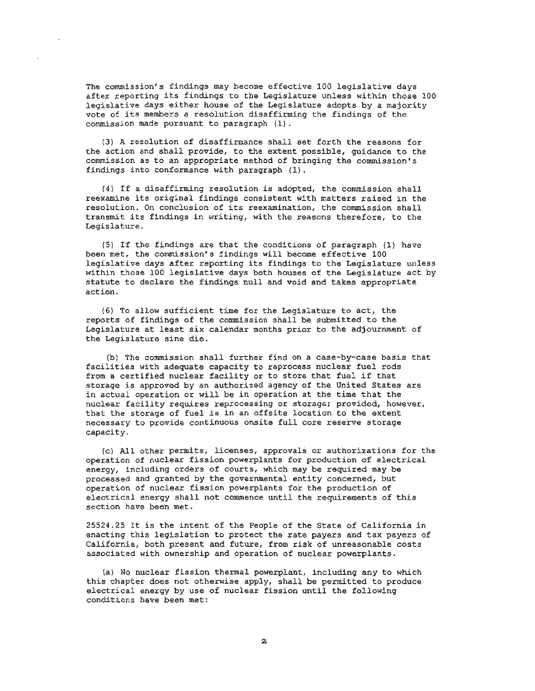The commission's findings may become effective 100 legislative days after reporting its findings to the Legislature unless within those 100 legislative days either house of the Legislature adopts by a majority vote of its members a resolution disaffirming the findings of the commission made pursuant to paragraph (1).

(3) A resolution of disaffirmance shall set forth the reasons for the action and shall provide, to the extent possible, guidance to the commission as to an appropriate method of bringing the commission's findings into conformance with paragraph (1).

(4) If a disaffirming resolution is adopted, the commission shall reexamine its original findings consistent with matters raised in the resolution. On conclusion of its reexamination, the commission shall transmit its findings in writing, with the reasons therefore, to the Legislature.

(5) If the findings are that the conditions of paragraph (1) have been met, the commission's findings will become effective 100 legislative days after reporting its findings to the Legislature unless within those 100 legislative days both houses of the Legislature act by statute to declare the findings null and void and takes appropriate action.

(6) To allow sufficient time for the Legislature to act, the reports of findings of the commission shall be submitted to the Legislature at least six calendar months prior to the adjournment of the Legislature sine die.

(b) The commission shall further find on a case-by-case basis that facilities with adequate capacity to reprocess nuclear fuel rods from a certified nuclear facility or to store that fuel if that storage is approved by an authorized agency of the United States are in actual operation or will be in operation at the time that the nuclear facility requires reprocessing or storage; provided, however, that the storage of fuel is in an offsite location to the extent necessary to provide continuous onsite full core reserve storage capacity .

(c) All other permits, licenses, approvals or authorizations for the operation of nuclear fission powerplants for production of electrical energy, including orders of courts, which may be required may be processed and granted by the governmental entity concerned, but operation of nuclear fission powerplants for the production of electrical energy shall not commence until the requirements of this section have been met.

25524.25 It is the intent of the People of the State of California in enacting this legislation to protect the rate payers and tax payers of California, both present and future, from risk of unreasonable costs associated with ownership and operation of nuclear powerplants.

(a) No nuclear fission thermal powerplant, including any to which this chapter does not otherwise apply, shall be permitted to produce electrical energy by use of nuclear fission until the following conditions have been met: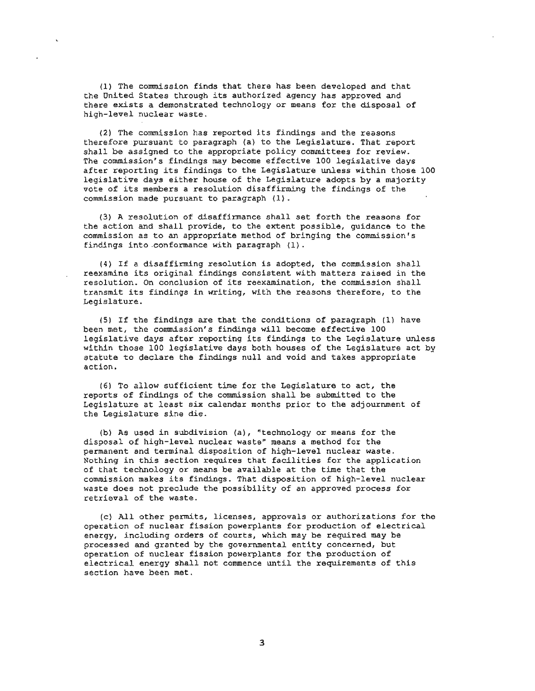(1) The commission finds that there has been developed and that the United States through its authorized agency has approved and there exists a demonstrated technology or means for the disposal of high-level nuclear waste.

(2) The commission has reported its findings and the reasons therefore pursuant to paragraph (a) to the Legislature. That report shall be assigned to the appropriate policy committees for review. The commission's findings may become effective 100 legislative days after reporting its findings to the Legislature unless within those 100 legislative days either house of the Legislature adopts by a majority vote of its members a resolution disaffirming the findings of the commission made pursuant to paragraph  $(1)$ .

(3) A resolution of disaffirmance shall set forth the reasons for the action and shall provide, to the extent possible, guidance to the commission as to an appropriate method of bringing the commission's findings into .conformance with paragraph (1) .

(4) If a disaffirming resolution is adopted, the commission shall reexamine its original findings consistent with matters raised in the resolution. On conclusion of its reexamination, the commission shall transmit its findings in writing, with the reasons therefore, to the Legislature.

(5) If the findings are that the conditions of paragraph (1) have been met, the commission's findings will become effective 100 legislative days after reporting its findings to the Legislature unless within those 100 legislative days both houses of the Legislature act by statute to declare the findings null and void and takes appropriate action.

(6) To allow sufficient time for the Legislature to act, the reports of findings of the commission shall be submitted to the Legislature at least six calendar months prior to the adjournment of the Legislature sine die.

(b) As used in subdivision (a), "technology or means for the disposal of high-level nuclear waste" means a method for the permanent and terminal disposition of high-level nuclear waste. Nothing in this section requires that facilities for the application of that technology or means be available at the time that the commi ssion makes its findings. That disposition of high-level nuclear waste does not preclude the possibility of an approved process for retrieval of the waste.

(c) All other permits, licenses, approvals or authorizations for the operation of nuclear fission powerplants for production of e lectrical energy. including orders of courts, which may be required may be processed and granted by the governmental entity concerned, but operation of nuclear fission powerplants for the production of electrical energy shall not commence until the requirements of this section have been met.